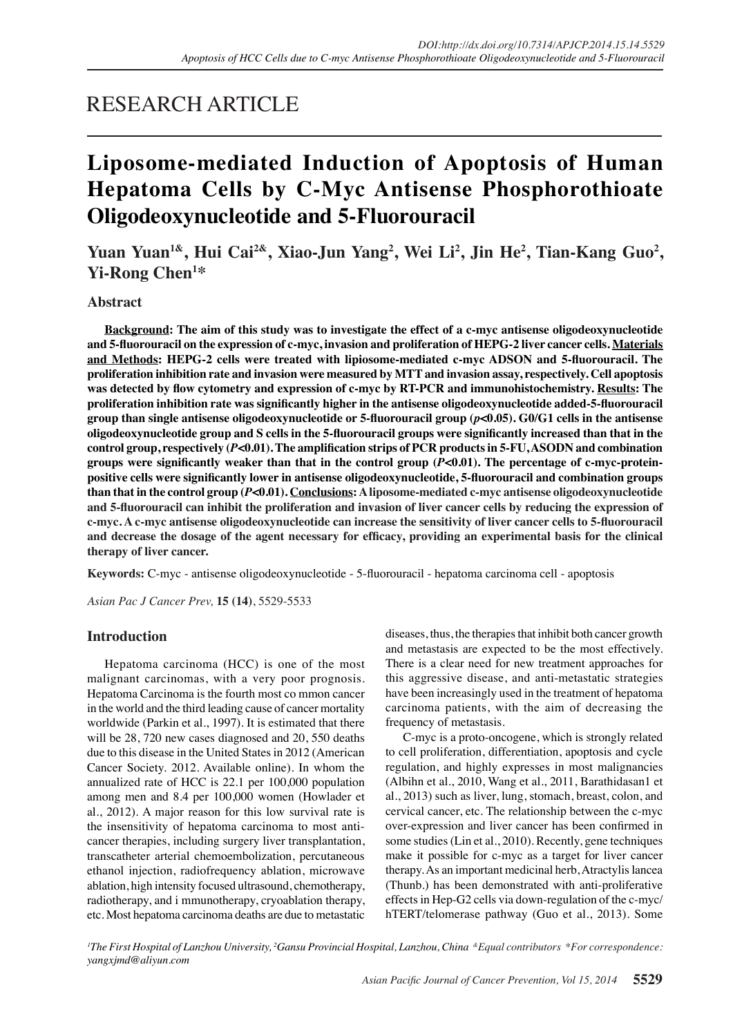## RESEARCH ARTICLE

# **Liposome-mediated Induction of Apoptosis of Human Hepatoma Cells by C-Myc Antisense Phosphorothioate Oligodeoxynucleotide and 5-Fluorouracil**

**Yuan Yuan1&, Hui Cai2&, Xiao-Jun Yang<sup>2</sup> , Wei Li<sup>2</sup> , Jin He<sup>2</sup> , Tian-Kang Guo<sup>2</sup> , Yi-Rong Chen<sup>1</sup> \***

## **Abstract**

**Background: The aim of this study was to investigate the effect of a c-myc antisense oligodeoxynucleotide and 5-fluorouracil on the expression of c-myc, invasion and proliferation of HEPG-2 liver cancer cells. Materials and Methods: HEPG-2 cells were treated with lipiosome-mediated c-myc ADSON and 5-fluorouracil. The proliferation inhibition rate and invasion were measured by MTT and invasion assay, respectively. Cell apoptosis was detected by flow cytometry and expression of c-myc by RT-PCR and immunohistochemistry. Results: The proliferation inhibition rate was significantly higher in the antisense oligodeoxynucleotide added-5-fluorouracil group than single antisense oligodeoxynucleotide or 5-fluorouracil group (***p***<0.05). G0/G1 cells in the antisense oligodeoxynucleotide group and S cells in the 5-fluorouracil groups were significantly increased than that in the control group, respectively (***P***<0.01). The amplification strips of PCR products in 5-FU, ASODN and combination groups were significantly weaker than that in the control group (***P***<0.01). The percentage of c-myc-proteinpositive cells were significantly lower in antisense oligodeoxynucleotide, 5-fluorouracil and combination groups than that in the control group (***P***<0.01). Conclusions: A liposome-mediated c-myc antisense oligodeoxynucleotide and 5-fluorouracil can inhibit the proliferation and invasion of liver cancer cells by reducing the expression of c-myc. A c-myc antisense oligodeoxynucleotide can increase the sensitivity of liver cancer cells to 5-fluorouracil and decrease the dosage of the agent necessary for efficacy, providing an experimental basis for the clinical therapy of liver cancer.**

**Keywords:** C-myc - antisense oligodeoxynucleotide - 5-fluorouracil - hepatoma carcinoma cell - apoptosis

*Asian Pac J Cancer Prev,* **15 (14)**, 5529-5533

## **Introduction**

Hepatoma carcinoma (HCC) is one of the most malignant carcinomas, with a very poor prognosis. Hepatoma Carcinoma is the fourth most co mmon cancer in the world and the third leading cause of cancer mortality worldwide (Parkin et al., 1997). It is estimated that there will be 28, 720 new cases diagnosed and 20, 550 deaths due to this disease in the United States in 2012 (American Cancer Society. 2012. Available online). In whom the annualized rate of HCC is 22.1 per 100,000 population among men and 8.4 per 100,000 women (Howlader et al., 2012). A major reason for this low survival rate is the insensitivity of hepatoma carcinoma to most anticancer therapies, including surgery liver transplantation, transcatheter arterial chemoembolization, percutaneous ethanol injection, radiofrequency ablation, microwave ablation, high intensity focused ultrasound, chemotherapy, radiotherapy, and i mmunotherapy, cryoablation therapy, etc. Most hepatoma carcinoma deaths are due to metastatic

diseases, thus, the therapies that inhibit both cancer growth and metastasis are expected to be the most effectively. There is a clear need for new treatment approaches for this aggressive disease, and anti-metastatic strategies have been increasingly used in the treatment of hepatoma carcinoma patients, with the aim of decreasing the frequency of metastasis.

C-myc is a proto-oncogene, which is strongly related to cell proliferation, differentiation, apoptosis and cycle regulation, and highly expresses in most malignancies (Albihn et al., 2010, Wang et al., 2011, Barathidasan1 et al., 2013) such as liver, lung, stomach, breast, colon, and cervical cancer, etc. The relationship between the c-myc over-expression and liver cancer has been confirmed in some studies (Lin et al., 2010). Recently, gene techniques make it possible for c-myc as a target for liver cancer therapy. As an important medicinal herb, Atractylis lancea (Thunb.) has been demonstrated with anti-proliferative effects in Hep-G2 cells via down-regulation of the c-myc/ hTERT/telomerase pathway (Guo et al., 2013). Some

*1 The First Hospital of Lanzhou University, 2 Gansu Provincial Hospital, Lanzhou, China &Equal contributors \*For correspondence: yangxjmd@aliyun.com*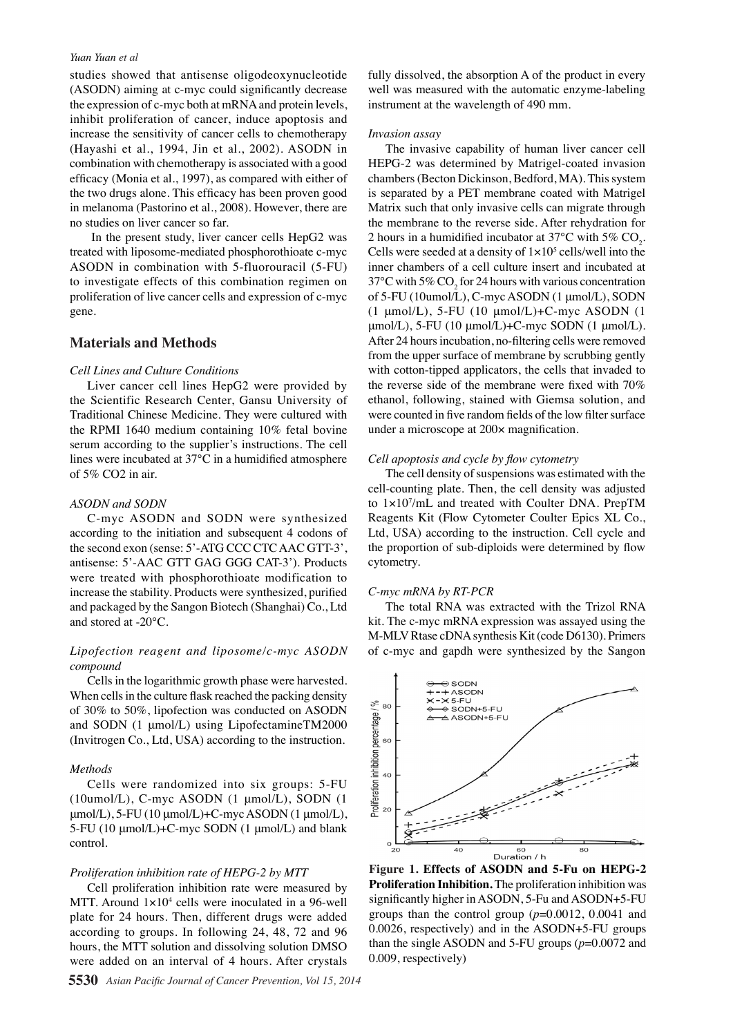#### *Yuan Yuan et al*

studies showed that antisense oligodeoxynucleotide (ASODN) aiming at c-myc could significantly decrease the expression of c-myc both at mRNA and protein levels, inhibit proliferation of cancer, induce apoptosis and increase the sensitivity of cancer cells to chemotherapy (Hayashi et al., 1994, Jin et al., 2002). ASODN in combination with chemotherapy is associated with a good efficacy (Monia et al., 1997), as compared with either of the two drugs alone. This efficacy has been proven good in melanoma (Pastorino et al., 2008). However, there are no studies on liver cancer so far.

 In the present study, liver cancer cells HepG2 was treated with liposome-mediated phosphorothioate c-myc ASODN in combination with 5-fluorouracil (5-FU) to investigate effects of this combination regimen on proliferation of live cancer cells and expression of c-myc gene.

## **Materials and Methods**

## *Cell Lines and Culture Conditions*

Liver cancer cell lines HepG2 were provided by the Scientific Research Center, Gansu University of Traditional Chinese Medicine. They were cultured with the RPMI 1640 medium containing 10% fetal bovine serum according to the supplier's instructions. The cell lines were incubated at 37℃ in a humidified atmosphere of 5% CO2 in air.

#### *ASODN and SODN*

C-myc ASODN and SODN were synthesized according to the initiation and subsequent 4 codons of the second exon (sense: 5'-ATG CCC CTC AAC GTT-3', antisense: 5'-AAC GTT GAG GGG CAT-3'). Products were treated with phosphorothioate modification to increase the stability. Products were synthesized, purified and packaged by the Sangon Biotech (Shanghai) Co., Ltd and stored at -20℃.

## *Lipofection reagent and liposome/c-myc ASODN compound*

Cells in the logarithmic growth phase were harvested. When cells in the culture flask reached the packing density of 30% to 50%, lipofection was conducted on ASODN and SODN (1 μmol/L) using LipofectamineTM2000 (Invitrogen Co., Ltd, USA) according to the instruction.

#### *Methods*

Cells were randomized into six groups: 5-FU (10umol/L), C-myc ASODN (1 μmol/L), SODN (1  $\mu$ mol/L), 5-FU (10  $\mu$ mol/L)+C-myc ASODN (1  $\mu$ mol/L), 5-FU (10 μmol/L)+C-myc SODN (1 μmol/L) and blank control.

#### *Proliferation inhibition rate of HEPG-2 by MTT*

Cell proliferation inhibition rate were measured by MTT. Around  $1 \times 10^4$  cells were inoculated in a 96-well plate for 24 hours. Then, different drugs were added according to groups. In following 24, 48, 72 and 96 hours, the MTT solution and dissolving solution DMSO were added on an interval of 4 hours. After crystals

fully dissolved, the absorption A of the product in every well was measured with the automatic enzyme-labeling instrument at the wavelength of 490 mm.

#### *Invasion assay*

The invasive capability of human liver cancer cell HEPG-2 was determined by Matrigel-coated invasion chambers (Becton Dickinson, Bedford, MA). This system is separated by a PET membrane coated with Matrigel Matrix such that only invasive cells can migrate through the membrane to the reverse side. After rehydration for 2 hours in a humidified incubator at 37 $\rm{^{\circ}C}$  with 5%  $\rm{CO}_{2}$ . Cells were seeded at a density of  $1 \times 10^5$  cells/well into the inner chambers of a cell culture insert and incubated at 37°C with 5%  $CO_2$  for 24 hours with various concentration of 5-FU (10umol/L), C-myc ASODN (1 μmol/L), SODN (1 μmol/L), 5-FU (10 μmol/L)+C-myc ASODN (1 μmol/L), 5-FU (10 μmol/L)+C-myc SODN (1 μmol/L). After 24 hours incubation, no-filtering cells were removed from the upper surface of membrane by scrubbing gently with cotton-tipped applicators, the cells that invaded to the reverse side of the membrane were fixed with 70% ethanol, following, stained with Giemsa solution, and were counted in five random fields of the low filter surface under a microscope at 200× magnification.

#### *Cell apoptosis and cycle by flow cytometry*

The cell density of suspensions was estimated with the cell-counting plate. Then, the cell density was adjusted to 1×107/mL and treated with Coulter DNA. PrepTM Reagents Kit (Flow Cytometer Coulter Epics XL Co., Ltd, USA) according to the instruction. Cell cycle and the proportion of sub-diploids were determined by flow cytometry.

#### *C-myc mRNA by RT-PCR*

The total RNA was extracted with the Trizol RNA kit. The c-myc mRNA expression was assayed using the M-MLV Rtase cDNA synthesis Kit (code D6130). Primers of c-myc and gapdh were synthesized by the Sangon



**Figure 1. Effects of ASODN and 5-Fu on HEPG-2 Proliferation Inhibition.** The proliferation inhibition was significantly higher in ASODN, 5-Fu and ASODN+5-FU groups than the control group (*p*=0.0012, 0.0041 and 0.0026, respectively) and in the ASODN+5-FU groups than the single ASODN and 5-FU groups (*p*=0.0072 and 0.009, respectively)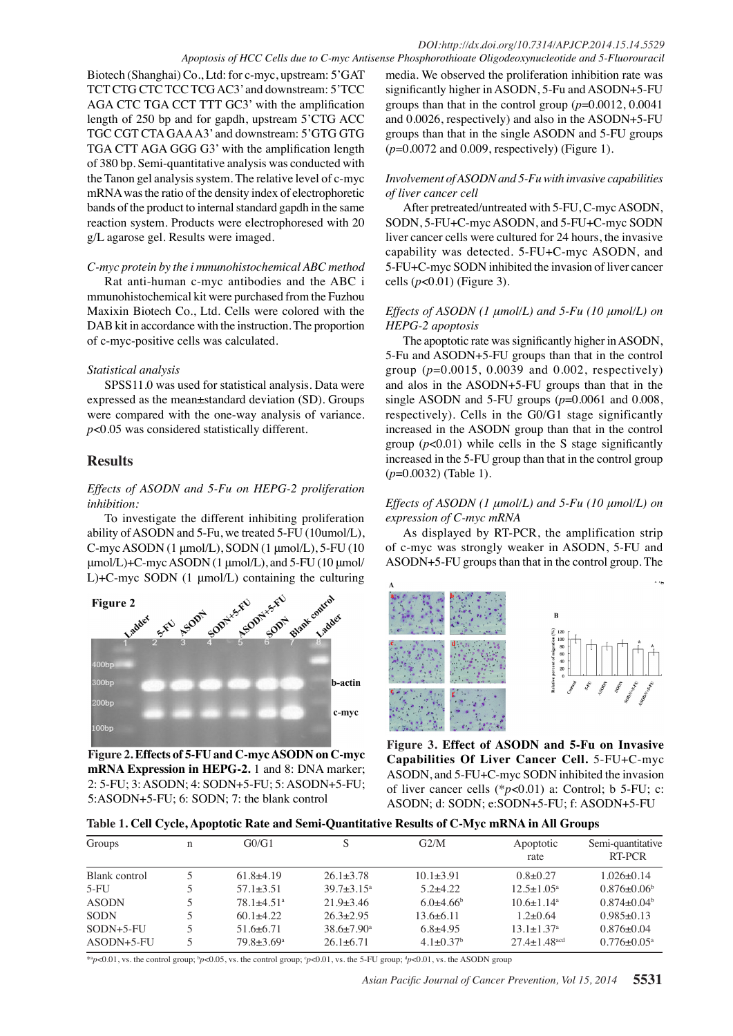Biotech (Shanghai) Co., Ltd: for c-myc, upstream: 5'GAT TCT CTG CTC TCC TCG AC3' and downstream: 5'TCC AGA CTC TGA CCT TTT GC3' with the amplification length of 250 bp and for gapdh, upstream 5'CTG ACC TGC CGT CTA GAA A3' and downstream: 5'GTG GTG TGA CTT AGA GGG G3' with the amplification length of 380 bp. Semi-quantitative analysis was conducted with the Tanon gel analysis system. The relative level of c-myc mRNA was the ratio of the density index of electrophoretic bands of the product to internal standard gapdh in the same reaction system. Products were electrophoresed with 20 g/L agarose gel. Results were imaged.

## *C-myc protein by the i mmunohistochemical ABC method*

Rat anti-human c-myc antibodies and the ABC i mmunohistochemical kit were purchased from the Fuzhou Maxixin Biotech Co., Ltd. Cells were colored with the DAB kit in accordance with the instruction. The proportion of c-myc-positive cells was calculated.

## *Statistical analysis*

SPSS11.0 was used for statistical analysis. Data were expressed as the mean±standard deviation (SD). Groups were compared with the one-way analysis of variance. *p*<0.05 was considered statistically different.

## **Results**

## *Effects of ASODN and 5-Fu on HEPG-2 proliferation inhibition:*

To investigate the different inhibiting proliferation ability of ASODN and 5-Fu, we treated 5-FU (10umol/L), C-myc ASODN (1 μmol/L), SODN (1 μmol/L), 5-FU (10 μmol/L)+C-myc ASODN (1 μmol/L), and 5-FU (10 μmol/ L)+C-myc SODN (1 μmol/L) containing the culturing



**Figure 2. Effects of 5-FU and C-myc ASODN on C-myc mRNA Expression in HEPG-2.** 1 and 8: DNA marker; 2: 5-FU; 3: ASODN; 4: SODN+5-FU; 5: ASODN+5-FU; 5:ASODN+5-FU; 6: SODN; 7: the blank control

media. We observed the proliferation inhibition rate was significantly higher in ASODN, 5-Fu and ASODN+5-FU groups than that in the control group (*p*=0.0012, 0.0041 and 0.0026, respectively) and also in the ASODN+5-FU groups than that in the single ASODN and 5-FU groups (*p*=0.0072 and 0.009, respectively) (Figure 1).

## *Involvement of ASODN and 5-Fu with invasive capabilities of liver cancer cell*

After pretreated/untreated with 5-FU, C-myc ASODN, SODN, 5-FU+C-myc ASODN, and 5-FU+C-myc SODN liver cancer cells were cultured for 24 hours, the invasive capability was detected. 5-FU+C-myc ASODN, and 5-FU+C-myc SODN inhibited the invasion of liver cancer cells (*p*<0.01) (Figure 3).

## *Effects of ASODN (1 μmol/L) and 5-Fu (10 μmol/L) on HEPG-2 apoptosis*

The apoptotic rate was significantly higher in ASODN, 5-Fu and ASODN+5-FU groups than that in the control group (*p*=0.0015, 0.0039 and 0.002, respectively) and alos in the ASODN+5-FU groups than that in the single ASODN and 5-FU groups  $(p=0.0061$  and  $0.008$ , respectively). Cells in the G0/G1 stage significantly increased in the ASODN group than that in the control group  $(p<0.01)$  while cells in the S stage significantly increased in the 5-FU group than that in the control group (*p*=0.0032) (Table 1).

## *Effects of ASODN (1 μmol/L) and 5-Fu (10 μmol/L) on expression of C-myc mRNA*

As displayed by RT-PCR, the amplification strip of c-myc was strongly weaker in ASODN, 5-FU and ASODN+5-FU groups than that in the control group. The





**Figure 3. Effect of ASODN and 5-Fu on Invasive Capabilities Of Liver Cancer Cell.** 5-FU+C-myc ASODN, and 5-FU+C-myc SODN inhibited the invasion of liver cancer cells (\**p*<0.01) a: Control; b 5-FU; c: ASODN; d: SODN; e:SODN+5-FU; f: ASODN+5-FU

| Groups        | $\mathbf n$ | G0/G1                        |                         | G2/M                        | Apoptotic<br>rate              | Semi-quantitative<br>RT-PCR |
|---------------|-------------|------------------------------|-------------------------|-----------------------------|--------------------------------|-----------------------------|
| Blank control |             | $61.8+4.19$                  | $26.1 + 3.78$           | $10.1 + 3.91$               | $0.8+0.27$                     | $1.026 \pm 0.14$            |
| $5-FU$        |             | $57.1 \pm 3.51$              | $39.7 + 3.15^a$         | $5.2 + 4.22$                | $12.5 \pm 1.05^{\circ}$        | $0.876 \pm 0.06^b$          |
| <b>ASODN</b>  |             | $78.1 + 4.51$ <sup>a</sup>   | $21.9 + 3.46$           | $6.0 + 4.66$                | $10.6 + 1.14$ <sup>a</sup>     | $0.874 + 0.04b$             |
| <b>SODN</b>   |             | $60.1 + 4.22$                | $26.3 + 2.95$           | $13.6 + 6.11$               | $1.2+0.64$                     | $0.985 \pm 0.13$            |
| $SODN+5-FU$   |             | $51.6+6.71$                  | $38.6 \pm 7.90^{\circ}$ | $6.8 + 4.95$                | $13.1 \pm 1.37$ <sup>a</sup>   | $0.876 \pm 0.04$            |
| $ASODN+5-FU$  |             | $79.8 \pm 3.69$ <sup>a</sup> | $26.1 + 6.71$           | $4.1 \pm 0.37$ <sup>b</sup> | $27.4 \pm 1.48$ <sup>acd</sup> | $0.776 \pm 0.05^{\text{a}}$ |

75.0

\*ap<0.01, vs. the control group;  $p \le 0.05$ , vs. the control group;  $p \le 0.01$ , vs. the 5-FU group;  $q \ge 0.01$ , vs. the ASODN group

*Asian Pacific Journal of Cancer Prevention, Vol 15, 2014* **5531** 100.0

 $\begin{array}{|c|c|c|c|c|}\n 6.3 & 10.1 & 20.3\n \end{array}$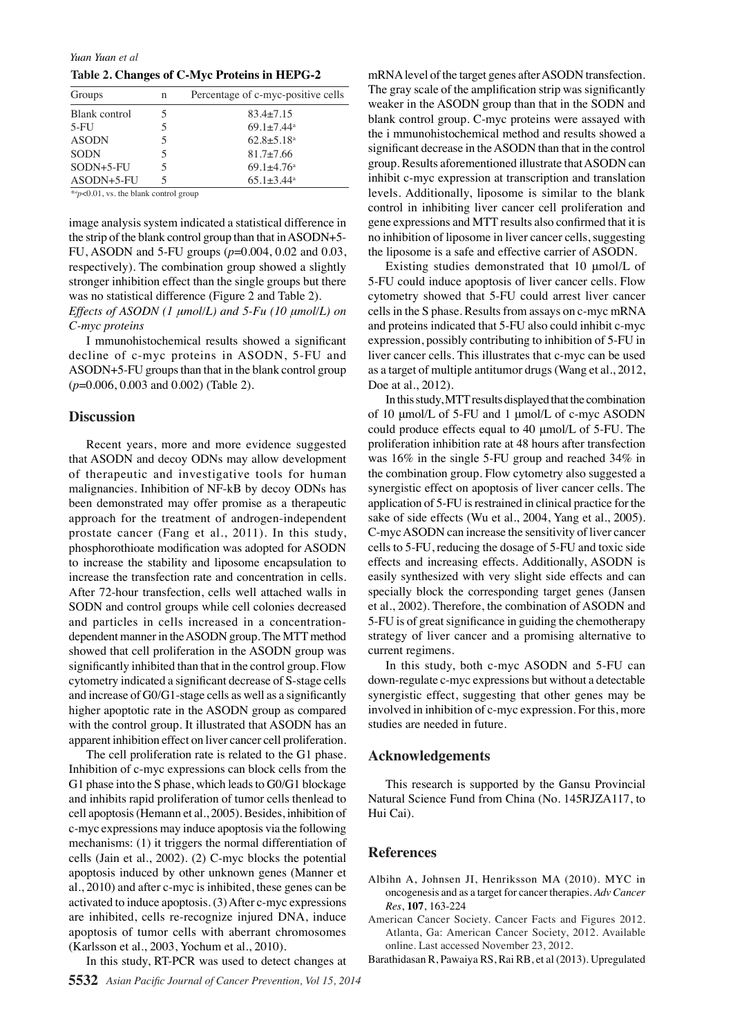*Yuan Yuan et al*

**Table 2. Changes of C-Myc Proteins in HEPG-2**

| Groups        | n | Percentage of c-myc-positive cells |
|---------------|---|------------------------------------|
| Blank control |   | $83.4 + 7.15$                      |
| $5-FU$        |   | $69.1 + 7.44$ <sup>a</sup>         |
| <b>ASODN</b>  |   | $62.8 \pm 5.18$ <sup>a</sup>       |
| <b>SODN</b>   |   | $81.7 \pm 7.66$                    |
| $SODN+5-FU$   | 5 | $69.1 + 4.76^a$                    |
| $ASODN+5-FU$  |   | $65.1 \pm 3.44^{\circ}$            |

\**a p*<0.01, vs. the blank control group

image analysis system indicated a statistical difference in the strip of the blank control group than that in ASODN+5- FU, ASODN and 5-FU groups (*p*=0.004, 0.02 and 0.03, respectively). The combination group showed a slightly stronger inhibition effect than the single groups but there was no statistical difference (Figure 2 and Table 2).

*Effects of ASODN (1 μmol/L) and 5-Fu (10 μmol/L) on C-myc proteins*

I mmunohistochemical results showed a significant decline of c-myc proteins in ASODN, 5-FU and ASODN+5-FU groups than that in the blank control group (*p*=0.006, 0.003 and 0.002) (Table 2).

### **Discussion**

Recent years, more and more evidence suggested that ASODN and decoy ODNs may allow development of therapeutic and investigative tools for human malignancies. Inhibition of NF-kB by decoy ODNs has been demonstrated may offer promise as a therapeutic approach for the treatment of androgen-independent prostate cancer (Fang et al., 2011). In this study, phosphorothioate modification was adopted for ASODN to increase the stability and liposome encapsulation to increase the transfection rate and concentration in cells. After 72-hour transfection, cells well attached walls in SODN and control groups while cell colonies decreased and particles in cells increased in a concentrationdependent manner in the ASODN group. The MTT method showed that cell proliferation in the ASODN group was significantly inhibited than that in the control group. Flow cytometry indicated a significant decrease of S-stage cells and increase of G0/G1-stage cells as well as a significantly higher apoptotic rate in the ASODN group as compared with the control group. It illustrated that ASODN has an apparent inhibition effect on liver cancer cell proliferation.

The cell proliferation rate is related to the G1 phase. Inhibition of c-myc expressions can block cells from the G1 phase into the S phase, which leads to G0/G1 blockage and inhibits rapid proliferation of tumor cells thenlead to cell apoptosis (Hemann et al., 2005). Besides, inhibition of c-myc expressions may induce apoptosis via the following mechanisms: (1) it triggers the normal differentiation of cells (Jain et al., 2002). (2) C-myc blocks the potential apoptosis induced by other unknown genes (Manner et al., 2010) and after c-myc is inhibited, these genes can be activated to induce apoptosis. (3) After c-myc expressions are inhibited, cells re-recognize injured DNA, induce apoptosis of tumor cells with aberrant chromosomes (Karlsson et al., 2003, Yochum et al., 2010).

In this study, RT-PCR was used to detect changes at

mRNA level of the target genes after ASODN transfection. The gray scale of the amplification strip was significantly weaker in the ASODN group than that in the SODN and blank control group. C-myc proteins were assayed with the i mmunohistochemical method and results showed a significant decrease in the ASODN than that in the control group. Results aforementioned illustrate that ASODN can inhibit c-myc expression at transcription and translation levels. Additionally, liposome is similar to the blank control in inhibiting liver cancer cell proliferation and gene expressions and MTT results also confirmed that it is no inhibition of liposome in liver cancer cells, suggesting the liposome is a safe and effective carrier of ASODN.

Existing studies demonstrated that 10 μmol/L of 5-FU could induce apoptosis of liver cancer cells. Flow cytometry showed that 5-FU could arrest liver cancer cells in the S phase. Results from assays on c-myc mRNA and proteins indicated that 5-FU also could inhibit c-myc expression, possibly contributing to inhibition of 5-FU in liver cancer cells. This illustrates that c-myc can be used as a target of multiple antitumor drugs (Wang et al., 2012, Doe at al., 2012).

In this study, MTT results displayed that the combination of 10 μmol/L of 5-FU and 1 μmol/L of c-myc ASODN could produce effects equal to 40 μmol/L of 5-FU. The proliferation inhibition rate at 48 hours after transfection was 16% in the single 5-FU group and reached 34% in the combination group. Flow cytometry also suggested a synergistic effect on apoptosis of liver cancer cells. The application of 5-FU is restrained in clinical practice for the sake of side effects (Wu et al., 2004, Yang et al., 2005). C-myc ASODN can increase the sensitivity of liver cancer cells to 5-FU, reducing the dosage of 5-FU and toxic side effects and increasing effects. Additionally, ASODN is easily synthesized with very slight side effects and can specially block the corresponding target genes (Jansen et al., 2002). Therefore, the combination of ASODN and 5-FU is of great significance in guiding the chemotherapy strategy of liver cancer and a promising alternative to current regimens.

In this study, both c-myc ASODN and 5-FU can down-regulate c-myc expressions but without a detectable synergistic effect, suggesting that other genes may be involved in inhibition of c-myc expression. For this, more studies are needed in future.

## **Acknowledgements**

This research is supported by the Gansu Provincial Natural Science Fund from China (No. 145RJZA117, to Hui Cai).

## **References**

- Albihn A, Johnsen JI, Henriksson MA (2010). MYC in oncogenesis and as a target for cancer therapies. *Adv Cancer Res*, **107**, 163-224
- American Cancer Society. Cancer Facts and Figures 2012. Atlanta, Ga: American Cancer Society, 2012. Available online. Last accessed November 23, 2012.
- Barathidasan R, Pawaiya RS, Rai RB, et al (2013). Upregulated